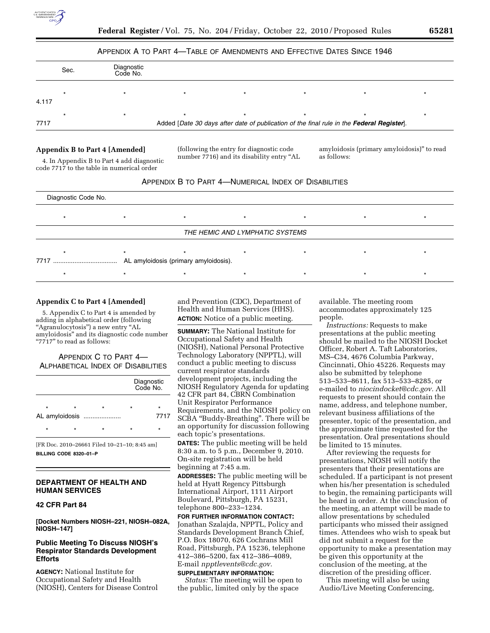

## APPENDIX A TO PART 4—TABLE OF AMENDMENTS AND EFFECTIVE DATES SINCE 1946

|       | Sec. | Diagnostic<br>Code No. |                                                                                           |  |  |
|-------|------|------------------------|-------------------------------------------------------------------------------------------|--|--|
| 4.117 |      |                        | $\star$                                                                                   |  |  |
| 7717  |      |                        | Added [Date 30 days after date of publication of the final rule in the Federal Register]. |  |  |

## **Appendix B to Part 4 [Amended]**

4. In Appendix B to Part 4 add diagnostic code 7717 to the table in numerical order

(following the entry for diagnostic code number 7716) and its disability entry ''AL amyloidosis (primary amyloidosis)'' to read as follows:



| Diagnostic Code No.             |                                       |  |  |  |  |  |  |  |
|---------------------------------|---------------------------------------|--|--|--|--|--|--|--|
|                                 |                                       |  |  |  |  |  |  |  |
| THE HEMIC AND LYMPHATIC SYSTEMS |                                       |  |  |  |  |  |  |  |
|                                 |                                       |  |  |  |  |  |  |  |
| 7717                            | AL amyloidosis (primary amyloidosis). |  |  |  |  |  |  |  |
|                                 |                                       |  |  |  |  |  |  |  |

### **Appendix C to Part 4 [Amended]**

5. Appendix C to Part 4 is amended by adding in alphabetical order (following ''Agranulocytosis'') a new entry ''AL amyloidosis'' and its diagnostic code number "7717" to read as follows:

APPENDIX C TO PART 4— ALPHABETICAL INDEX OF DISABILITIES

|         |         |                           | Diagnostic<br>Code No. |                 |  |
|---------|---------|---------------------------|------------------------|-----------------|--|
| $\star$ | $\star$ | $\star$<br>AL amyloidosis | $\star$                | $\star$<br>7717 |  |
| $\star$ | $\star$ | $\star$                   | $\star$                | $\star$         |  |
|         |         |                           |                        |                 |  |

[FR Doc. 2010–26661 Filed 10–21–10; 8:45 am] **BILLING CODE 8320–01–P** 

# **DEPARTMENT OF HEALTH AND HUMAN SERVICES**

#### **42 CFR Part 84**

**[Docket Numbers NIOSH–221, NIOSH–082A, NIOSH–147]** 

# **Public Meeting To Discuss NIOSH's Respirator Standards Development Efforts**

**AGENCY:** National Institute for Occupational Safety and Health (NIOSH), Centers for Disease Control and Prevention (CDC), Department of Health and Human Services (HHS). **ACTION:** Notice of a public meeting.

**SUMMARY:** The National Institute for Occupational Safety and Health (NIOSH), National Personal Protective Technology Laboratory (NPPTL), will conduct a public meeting to discuss current respirator standards development projects, including the NIOSH Regulatory Agenda for updating 42 CFR part 84, CBRN Combination Unit Respirator Performance Requirements, and the NIOSH policy on SCBA ''Buddy-Breathing''. There will be an opportunity for discussion following each topic's presentations. **DATES:** The public meeting will be held 8:30 a.m. to 5 p.m., December 9, 2010. On-site registration will be held beginning at 7:45 a.m.

**ADDRESSES:** The public meeting will be held at Hyatt Regency Pittsburgh International Airport, 1111 Airport Boulevard, Pittsburgh, PA 15231, telephone 800–233–1234.

**FOR FURTHER INFORMATION CONTACT:**  Jonathan Szalajda, NPPTL, Policy and Standards Development Branch Chief, P.O. Box 18070, 626 Cochrans Mill Road, Pittsburgh, PA 15236, telephone 412–386–5200, fax 412–386–4089, E-mail *[npptlevents@cdc.gov.](mailto:npptlevents@cdc.gov)* 

#### **SUPPLEMENTARY INFORMATION:**

*Status:* The meeting will be open to the public, limited only by the space

available. The meeting room accommodates approximately 125 people.

*Instructions:* Requests to make presentations at the public meeting should be mailed to the NIOSH Docket Officer, Robert A. Taft Laboratories, MS–C34, 4676 Columbia Parkway, Cincinnati, Ohio 45226. Requests may also be submitted by telephone 513–533–8611, fax 513–533–8285, or e-mailed to *[niocindocket@cdc.gov.](mailto:niocindocket@cdc.gov)* All requests to present should contain the name, address, and telephone number, relevant business affiliations of the presenter, topic of the presentation, and the approximate time requested for the presentation. Oral presentations should be limited to 15 minutes.

After reviewing the requests for presentations, NIOSH will notify the presenters that their presentations are scheduled. If a participant is not present when his/her presentation is scheduled to begin, the remaining participants will be heard in order. At the conclusion of the meeting, an attempt will be made to allow presentations by scheduled participants who missed their assigned times. Attendees who wish to speak but did not submit a request for the opportunity to make a presentation may be given this opportunity at the conclusion of the meeting, at the discretion of the presiding officer.

This meeting will also be using Audio/Live Meeting Conferencing,